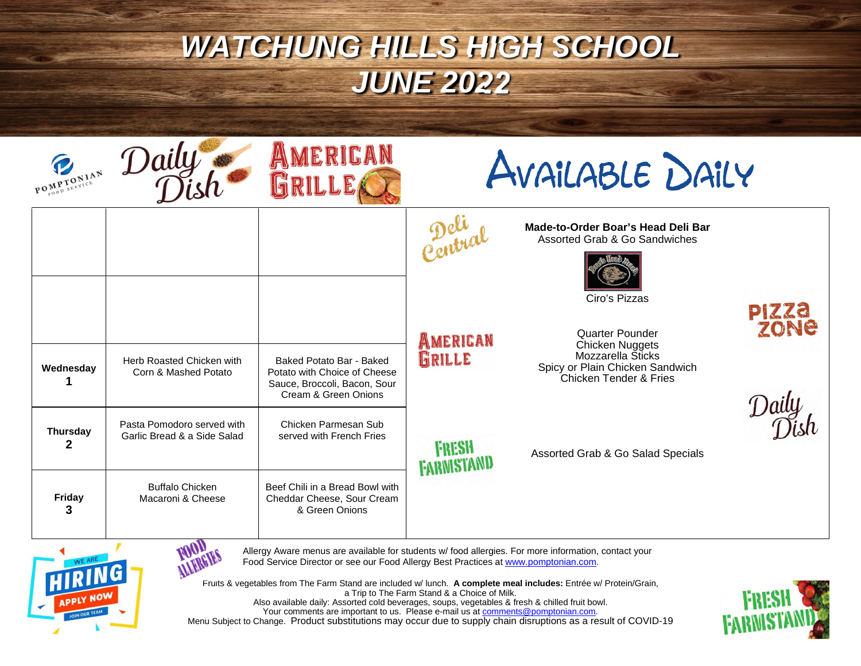## *WATCHUNG HILLS HIGH SCHOOL JUNE 2022*

| POMPTONIAN           | Daily                                                     | AMERICAN<br><b>GRILLE</b>                                                                                        | AVAILABLE DAILY            |                                                                                                                                           |                      |
|----------------------|-----------------------------------------------------------|------------------------------------------------------------------------------------------------------------------|----------------------------|-------------------------------------------------------------------------------------------------------------------------------------------|----------------------|
|                      |                                                           |                                                                                                                  |                            | Made-to-Order Boar's Head Deli Bar<br>Assorted Grab & Go Sandwiches<br>Ciro's Pizzas                                                      |                      |
| Wednesday            | Herb Roasted Chicken with<br>Corn & Mashed Potato         | Baked Potato Bar - Baked<br>Potato with Choice of Cheese<br>Sauce, Broccoli, Bacon, Sour<br>Cream & Green Onions | AMERICAN<br>GRILLE         | <b>Quarter Pounder</b><br><b>Chicken Nuggets</b><br><b>Mozzarella Sticks</b><br>Spicy or Plain Chicken Sandwich<br>Chicken Tender & Fries | <b>PIZZA</b><br>ZONE |
| <b>Thursday</b><br>2 | Pasta Pomodoro served with<br>Garlic Bread & a Side Salad | Chicken Parmesan Sub<br>served with French Fries                                                                 | FRESH<br><b>FARMISTAND</b> | Assorted Grab & Go Salad Specials                                                                                                         |                      |
| <b>Friday</b><br>3   | <b>Buffalo Chicken</b><br>Macaroni & Cheese               | Beef Chili in a Bread Bowl with<br>Cheddar Cheese, Sour Cream<br>& Green Onions                                  |                            |                                                                                                                                           |                      |



**MARGIES** Allergy Aware menus are available for students w/ food allergies. For more information, contact your Food Service Director or see our Food Allergy Best Practices at www.pomptonian.com.

Fruits & vegetables from The Farm Stand are included w/ lunch. **A complete meal includes:** Entrée w/ Protein/Grain, a Trip to The Farm Stand & a Choice of Milk. Also available daily: Assorted cold beverages, soups, vegetables & fresh & chilled fruit bowl. Your comments are important to us. Please e-mail us at <u>comments@pomptonian.com</u>. Menu Subject to Change. Product substitutions may occur due to supply chain disruptions as a result of COVID-19